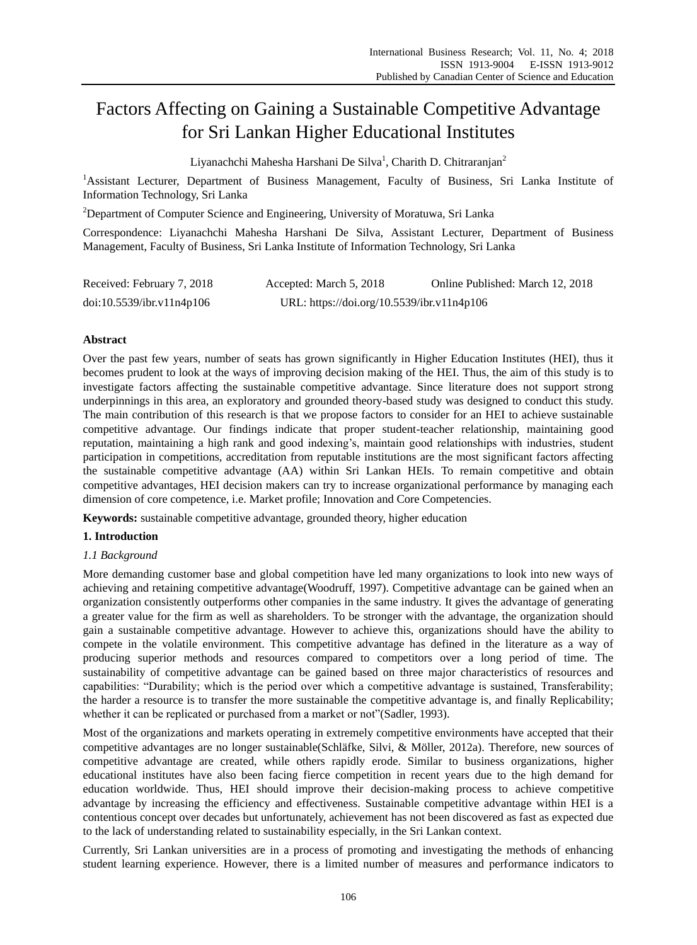# Factors Affecting on Gaining a Sustainable Competitive Advantage for Sri Lankan Higher Educational Institutes

Liyanachchi Mahesha Harshani De Silva<sup>1</sup>, Charith D. Chitraranjan<sup>2</sup>

<sup>1</sup>Assistant Lecturer, Department of Business Management, Faculty of Business, Sri Lanka Institute of Information Technology, Sri Lanka

<sup>2</sup>Department of Computer Science and Engineering, University of Moratuwa, Sri Lanka

Correspondence: Liyanachchi Mahesha Harshani De Silva, Assistant Lecturer, Department of Business Management, Faculty of Business, Sri Lanka Institute of Information Technology, Sri Lanka

| Received: February 7, 2018 | Accepted: March 5, 2018                    | Online Published: March 12, 2018 |
|----------------------------|--------------------------------------------|----------------------------------|
| doi:10.5539/ibr.v11n4p106  | URL: https://doi.org/10.5539/ibr.v11n4p106 |                                  |

## **Abstract**

Over the past few years, number of seats has grown significantly in Higher Education Institutes (HEI), thus it becomes prudent to look at the ways of improving decision making of the HEI. Thus, the aim of this study is to investigate factors affecting the sustainable competitive advantage. Since literature does not support strong underpinnings in this area, an exploratory and grounded theory-based study was designed to conduct this study. The main contribution of this research is that we propose factors to consider for an HEI to achieve sustainable competitive advantage. Our findings indicate that proper student-teacher relationship, maintaining good reputation, maintaining a high rank and good indexing's, maintain good relationships with industries, student participation in competitions, accreditation from reputable institutions are the most significant factors affecting the sustainable competitive advantage (AA) within Sri Lankan HEIs. To remain competitive and obtain competitive advantages, HEI decision makers can try to increase organizational performance by managing each dimension of core competence, i.e. Market profile; Innovation and Core Competencies.

**Keywords:** sustainable competitive advantage, grounded theory, higher education

## **1. Introduction**

## *1.1 Background*

More demanding customer base and global competition have led many organizations to look into new ways of achieving and retaining competitive advantage(Woodruff, 1997). Competitive advantage can be gained when an organization consistently outperforms other companies in the same industry. It gives the advantage of generating a greater value for the firm as well as shareholders. To be stronger with the advantage, the organization should gain a sustainable competitive advantage. However to achieve this, organizations should have the ability to compete in the volatile environment. This competitive advantage has defined in the literature as a way of producing superior methods and resources compared to competitors over a long period of time. The sustainability of competitive advantage can be gained based on three major characteristics of resources and capabilities: "Durability; which is the period over which a competitive advantage is sustained, Transferability; the harder a resource is to transfer the more sustainable the competitive advantage is, and finally Replicability; whether it can be replicated or purchased from a market or not"(Sadler, 1993).

Most of the organizations and markets operating in extremely competitive environments have accepted that their competitive advantages are no longer sustainable(Schläfke, Silvi, & Möller, 2012a). Therefore, new sources of competitive advantage are created, while others rapidly erode. Similar to business organizations, higher educational institutes have also been facing fierce competition in recent years due to the high demand for education worldwide. Thus, HEI should improve their decision-making process to achieve competitive advantage by increasing the efficiency and effectiveness. Sustainable competitive advantage within HEI is a contentious concept over decades but unfortunately, achievement has not been discovered as fast as expected due to the lack of understanding related to sustainability especially, in the Sri Lankan context.

Currently, Sri Lankan universities are in a process of promoting and investigating the methods of enhancing student learning experience. However, there is a limited number of measures and performance indicators to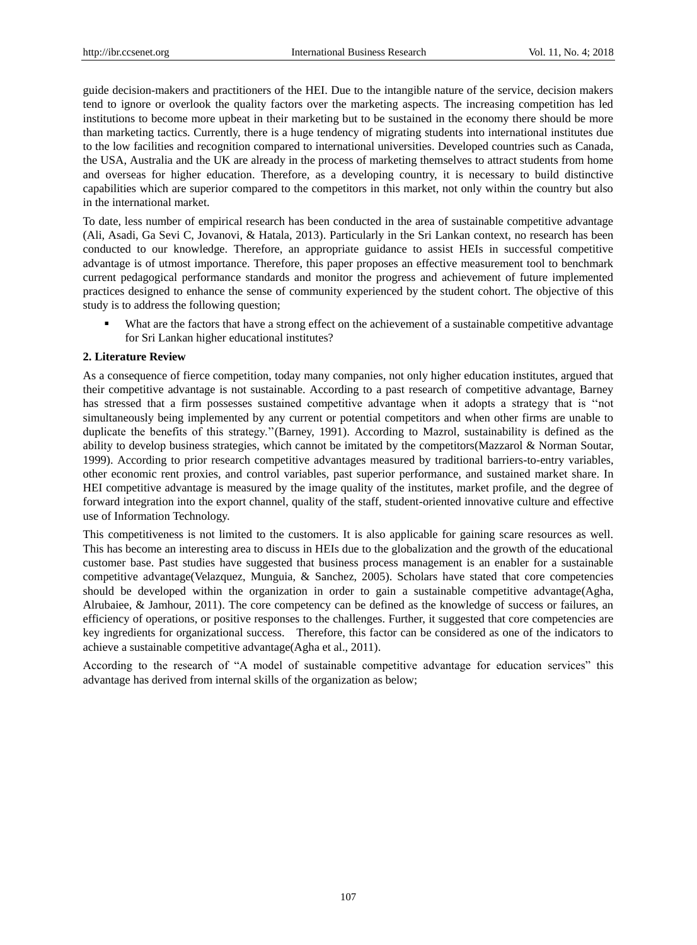guide decision-makers and practitioners of the HEI. Due to the intangible nature of the service, decision makers tend to ignore or overlook the quality factors over the marketing aspects. The increasing competition has led institutions to become more upbeat in their marketing but to be sustained in the economy there should be more than marketing tactics. Currently, there is a huge tendency of migrating students into international institutes due to the low facilities and recognition compared to international universities. Developed countries such as Canada, the USA, Australia and the UK are already in the process of marketing themselves to attract students from home and overseas for higher education. Therefore, as a developing country, it is necessary to build distinctive capabilities which are superior compared to the competitors in this market, not only within the country but also in the international market.

To date, less number of empirical research has been conducted in the area of sustainable competitive advantage (Ali, Asadi, Ga Sevi C, Jovanovi, & Hatala, 2013). Particularly in the Sri Lankan context, no research has been conducted to our knowledge. Therefore, an appropriate guidance to assist HEIs in successful competitive advantage is of utmost importance. Therefore, this paper proposes an effective measurement tool to benchmark current pedagogical performance standards and monitor the progress and achievement of future implemented practices designed to enhance the sense of community experienced by the student cohort. The objective of this study is to address the following question;

 What are the factors that have a strong effect on the achievement of a sustainable competitive advantage for Sri Lankan higher educational institutes?

## **2. Literature Review**

As a consequence of fierce competition, today many companies, not only higher education institutes, argued that their competitive advantage is not sustainable. According to a past research of competitive advantage, Barney has stressed that a firm possesses sustained competitive advantage when it adopts a strategy that is ''not simultaneously being implemented by any current or potential competitors and when other firms are unable to duplicate the benefits of this strategy.''(Barney, 1991). According to Mazrol, sustainability is defined as the ability to develop business strategies, which cannot be imitated by the competitors(Mazzarol & Norman Soutar, 1999). According to prior research competitive advantages measured by traditional barriers-to-entry variables, other economic rent proxies, and control variables, past superior performance, and sustained market share. In HEI competitive advantage is measured by the image quality of the institutes, market profile, and the degree of forward integration into the export channel, quality of the staff, student-oriented innovative culture and effective use of Information Technology.

This competitiveness is not limited to the customers. It is also applicable for gaining scare resources as well. This has become an interesting area to discuss in HEIs due to the globalization and the growth of the educational customer base. Past studies have suggested that business process management is an enabler for a sustainable competitive advantage(Velazquez, Munguia, & Sanchez, 2005). Scholars have stated that core competencies should be developed within the organization in order to gain a sustainable competitive advantage(Agha, Alrubaiee, & Jamhour, 2011). The core competency can be defined as the knowledge of success or failures, an efficiency of operations, or positive responses to the challenges. Further, it suggested that core competencies are key ingredients for organizational success. Therefore, this factor can be considered as one of the indicators to achieve a sustainable competitive advantage(Agha et al., 2011).

According to the research of "A model of sustainable competitive advantage for education services" this advantage has derived from internal skills of the organization as below;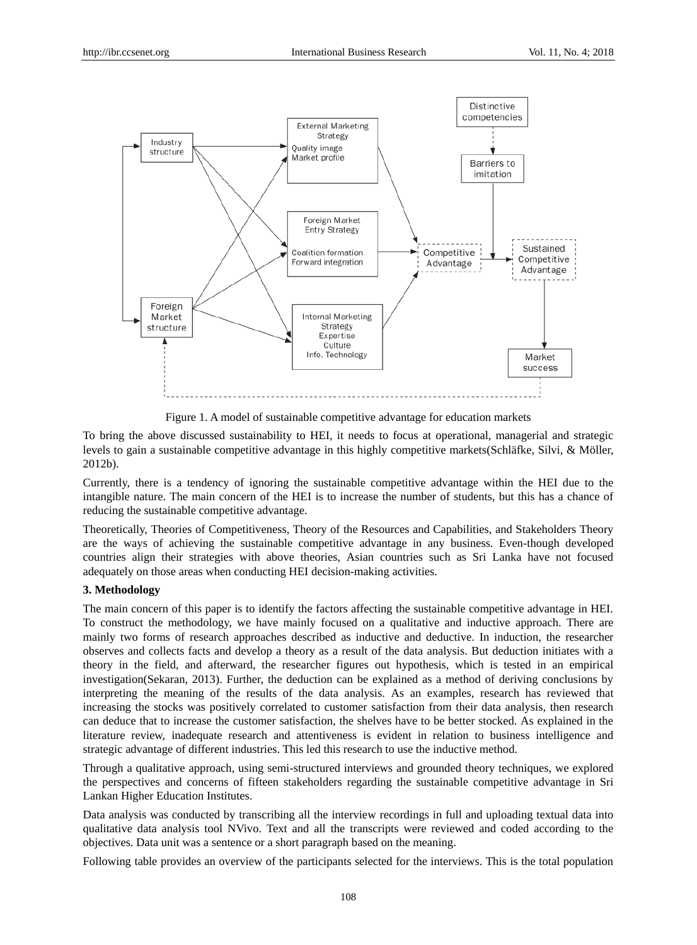

Figure 1. A model of sustainable competitive advantage for education markets

To bring the above discussed sustainability to HEI, it needs to focus at operational, managerial and strategic levels to gain a sustainable competitive advantage in this highly competitive markets(Schläfke, Silvi, & Möller, 2012b).

Currently, there is a tendency of ignoring the sustainable competitive advantage within the HEI due to the intangible nature. The main concern of the HEI is to increase the number of students, but this has a chance of reducing the sustainable competitive advantage.

Theoretically, Theories of Competitiveness, Theory of the Resources and Capabilities, and Stakeholders Theory are the ways of achieving the sustainable competitive advantage in any business. Even-though developed countries align their strategies with above theories, Asian countries such as Sri Lanka have not focused adequately on those areas when conducting HEI decision-making activities.

## **3. Methodology**

The main concern of this paper is to identify the factors affecting the sustainable competitive advantage in HEI. To construct the methodology, we have mainly focused on a qualitative and inductive approach. There are mainly two forms of research approaches described as inductive and deductive. In induction, the researcher observes and collects facts and develop a theory as a result of the data analysis. But deduction initiates with a theory in the field, and afterward, the researcher figures out hypothesis, which is tested in an empirical investigation(Sekaran, 2013). Further, the deduction can be explained as a method of deriving conclusions by interpreting the meaning of the results of the data analysis. As an examples, research has reviewed that increasing the stocks was positively correlated to customer satisfaction from their data analysis, then research can deduce that to increase the customer satisfaction, the shelves have to be better stocked. As explained in the literature review, inadequate research and attentiveness is evident in relation to business intelligence and strategic advantage of different industries. This led this research to use the inductive method.

Through a qualitative approach, using semi-structured interviews and grounded theory techniques, we explored the perspectives and concerns of fifteen stakeholders regarding the sustainable competitive advantage in Sri Lankan Higher Education Institutes.

Data analysis was conducted by transcribing all the interview recordings in full and uploading textual data into qualitative data analysis tool NVivo. Text and all the transcripts were reviewed and coded according to the objectives. Data unit was a sentence or a short paragraph based on the meaning.

Following table provides an overview of the participants selected for the interviews. This is the total population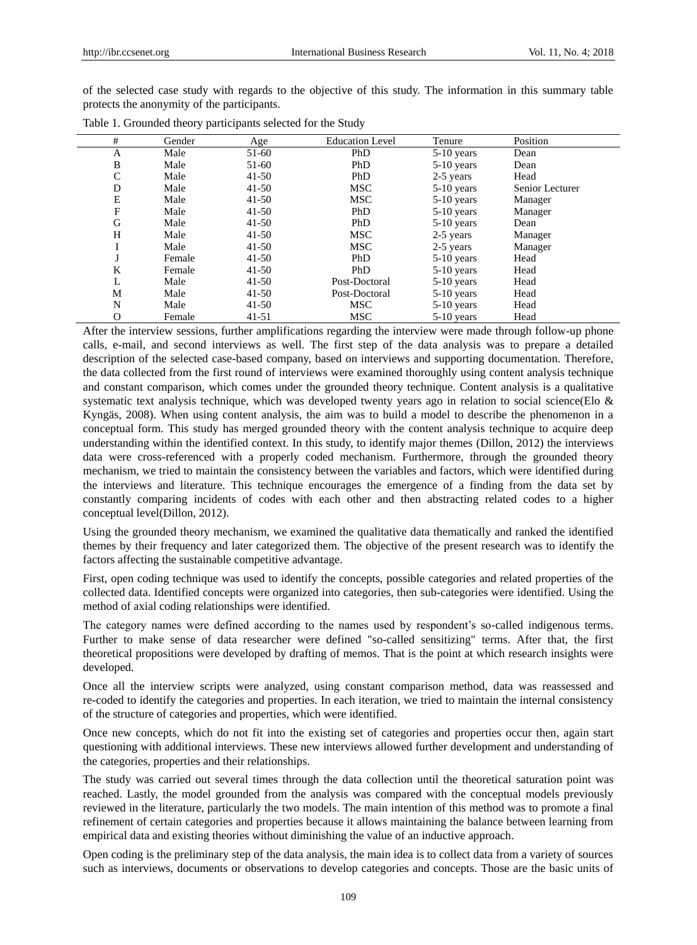of the selected case study with regards to the objective of this study. The information in this summary table protects the anonymity of the participants.

| #            | Gender | Age       | <b>Education Level</b> | Tenure       | Position        |  |
|--------------|--------|-----------|------------------------|--------------|-----------------|--|
| Α            | Male   | 51-60     | PhD                    | $5-10$ years | Dean            |  |
| B            | Male   | 51-60     | PhD                    | $5-10$ years | Dean            |  |
| $\mathsf{C}$ | Male   | $41 - 50$ | PhD                    | 2-5 years    | Head            |  |
| D            | Male   | $41 - 50$ | <b>MSC</b>             | $5-10$ years | Senior Lecturer |  |
| Ε            | Male   | $41 - 50$ | <b>MSC</b>             | $5-10$ years | Manager         |  |
| F            | Male   | $41 - 50$ | PhD                    | $5-10$ years | Manager         |  |
| G            | Male   | $41 - 50$ | PhD                    | $5-10$ years | Dean            |  |
| H            | Male   | $41 - 50$ | <b>MSC</b>             | 2-5 years    | Manager         |  |
|              | Male   | $41 - 50$ | <b>MSC</b>             | 2-5 years    | Manager         |  |
| J            | Female | $41 - 50$ | PhD                    | $5-10$ years | Head            |  |
| K            | Female | $41 - 50$ | PhD                    | $5-10$ years | Head            |  |
| L            | Male   | $41 - 50$ | Post-Doctoral          | $5-10$ years | Head            |  |
| M            | Male   | $41-50$   | Post-Doctoral          | $5-10$ years | Head            |  |
| N            | Male   | $41 - 50$ | <b>MSC</b>             | $5-10$ years | Head            |  |
| O            | Female | $41 - 51$ | <b>MSC</b>             | $5-10$ years | Head            |  |

After the interview sessions, further amplifications regarding the interview were made through follow-up phone calls, e-mail, and second interviews as well. The first step of the data analysis was to prepare a detailed description of the selected case-based company, based on interviews and supporting documentation. Therefore, the data collected from the first round of interviews were examined thoroughly using content analysis technique and constant comparison, which comes under the grounded theory technique. Content analysis is a qualitative systematic text analysis technique, which was developed twenty years ago in relation to social science(Elo & Kyngäs, 2008). When using content analysis, the aim was to build a model to describe the phenomenon in a conceptual form. This study has merged grounded theory with the content analysis technique to acquire deep understanding within the identified context. In this study, to identify major themes (Dillon, 2012) the interviews data were cross-referenced with a properly coded mechanism. Furthermore, through the grounded theory mechanism, we tried to maintain the consistency between the variables and factors, which were identified during the interviews and literature. This technique encourages the emergence of a finding from the data set by constantly comparing incidents of codes with each other and then abstracting related codes to a higher conceptual level(Dillon, 2012).

Using the grounded theory mechanism, we examined the qualitative data thematically and ranked the identified themes by their frequency and later categorized them. The objective of the present research was to identify the factors affecting the sustainable competitive advantage.

First, open coding technique was used to identify the concepts, possible categories and related properties of the collected data. Identified concepts were organized into categories, then sub-categories were identified. Using the method of axial coding relationships were identified.

The category names were defined according to the names used by respondent's so-called indigenous terms. Further to make sense of data researcher were defined "so-called sensitizing" terms. After that, the first theoretical propositions were developed by drafting of memos. That is the point at which research insights were developed.

Once all the interview scripts were analyzed, using constant comparison method, data was reassessed and re-coded to identify the categories and properties. In each iteration, we tried to maintain the internal consistency of the structure of categories and properties, which were identified.

Once new concepts, which do not fit into the existing set of categories and properties occur then, again start questioning with additional interviews. These new interviews allowed further development and understanding of the categories, properties and their relationships.

The study was carried out several times through the data collection until the theoretical saturation point was reached. Lastly, the model grounded from the analysis was compared with the conceptual models previously reviewed in the literature, particularly the two models. The main intention of this method was to promote a final refinement of certain categories and properties because it allows maintaining the balance between learning from empirical data and existing theories without diminishing the value of an inductive approach.

Open coding is the preliminary step of the data analysis, the main idea is to collect data from a variety of sources such as interviews, documents or observations to develop categories and concepts. Those are the basic units of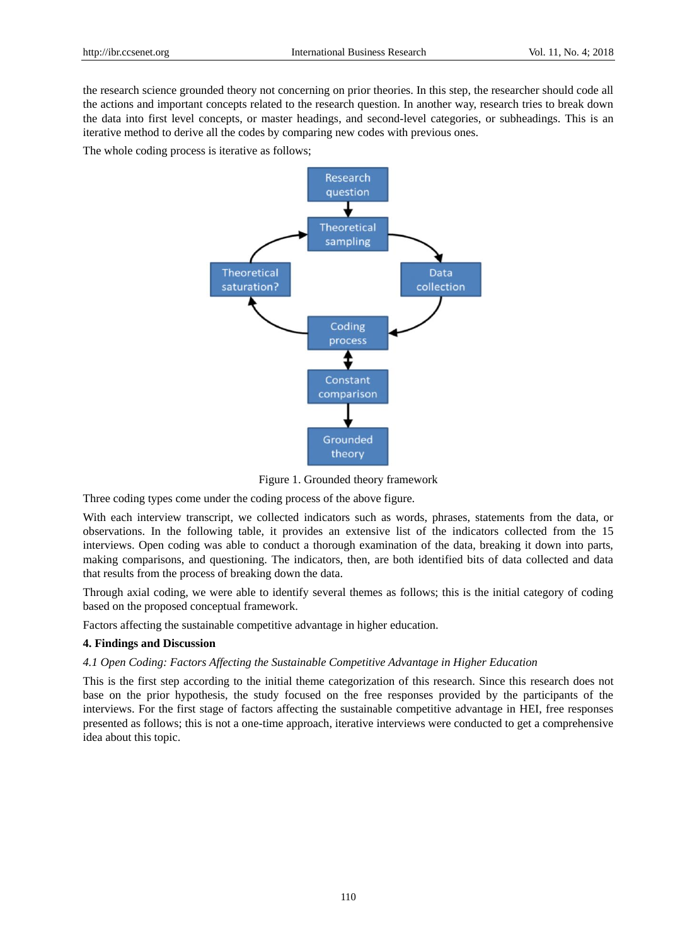the research science grounded theory not concerning on prior theories. In this step, the researcher should code all the actions and important concepts related to the research question. In another way, research tries to break down the data into first level concepts, or master headings, and second-level categories, or subheadings. This is an iterative method to derive all the codes by comparing new codes with previous ones.

The whole coding process is iterative as follows;



Figure 1. Grounded theory framework

Three coding types come under the coding process of the above figure.

With each interview transcript, we collected indicators such as words, phrases, statements from the data, or observations. In the following table, it provides an extensive list of the indicators collected from the 15 interviews. Open coding was able to conduct a thorough examination of the data, breaking it down into parts, making comparisons, and questioning. The indicators, then, are both identified bits of data collected and data that results from the process of breaking down the data.

Through axial coding, we were able to identify several themes as follows; this is the initial category of coding based on the proposed conceptual framework.

Factors affecting the sustainable competitive advantage in higher education.

#### **4. Findings and Discussion**

#### *4.1 Open Coding: Factors Affecting the Sustainable Competitive Advantage in Higher Education*

This is the first step according to the initial theme categorization of this research. Since this research does not base on the prior hypothesis, the study focused on the free responses provided by the participants of the interviews. For the first stage of factors affecting the sustainable competitive advantage in HEI, free responses presented as follows; this is not a one-time approach, iterative interviews were conducted to get a comprehensive idea about this topic.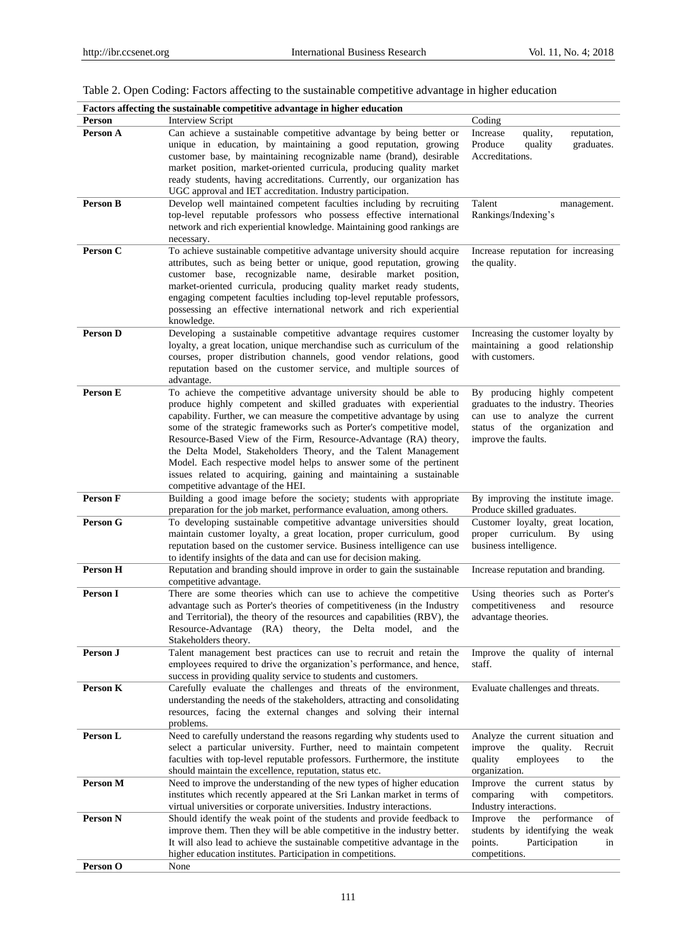|                 | Factors affecting the sustainable competitive advantage in higher education                                                                                                                                                                                                                                                                                                                                                                                                                                                                                                                                     |                                                                                                                                                                 |  |  |  |
|-----------------|-----------------------------------------------------------------------------------------------------------------------------------------------------------------------------------------------------------------------------------------------------------------------------------------------------------------------------------------------------------------------------------------------------------------------------------------------------------------------------------------------------------------------------------------------------------------------------------------------------------------|-----------------------------------------------------------------------------------------------------------------------------------------------------------------|--|--|--|
| Person          | Interview Script                                                                                                                                                                                                                                                                                                                                                                                                                                                                                                                                                                                                | Coding                                                                                                                                                          |  |  |  |
| Person A        | Can achieve a sustainable competitive advantage by being better or<br>unique in education, by maintaining a good reputation, growing<br>customer base, by maintaining recognizable name (brand), desirable<br>market position, market-oriented curricula, producing quality market<br>ready students, having accreditations. Currently, our organization has<br>UGC approval and IET accreditation. Industry participation.                                                                                                                                                                                     | quality,<br>reputation,<br>Increase<br>graduates.<br>Produce<br>quality<br>Accreditations.                                                                      |  |  |  |
| <b>Person B</b> | Develop well maintained competent faculties including by recruiting<br>top-level reputable professors who possess effective international<br>network and rich experiential knowledge. Maintaining good rankings are<br>necessary.                                                                                                                                                                                                                                                                                                                                                                               | Talent<br>management.<br>Rankings/Indexing's                                                                                                                    |  |  |  |
| Person C        | To achieve sustainable competitive advantage university should acquire<br>attributes, such as being better or unique, good reputation, growing<br>customer base, recognizable name, desirable market position,<br>market-oriented curricula, producing quality market ready students,<br>engaging competent faculties including top-level reputable professors,<br>possessing an effective international network and rich experiential<br>knowledge.                                                                                                                                                            | Increase reputation for increasing<br>the quality.                                                                                                              |  |  |  |
| <b>Person D</b> | Developing a sustainable competitive advantage requires customer<br>loyalty, a great location, unique merchandise such as curriculum of the<br>courses, proper distribution channels, good vendor relations, good<br>reputation based on the customer service, and multiple sources of<br>advantage.                                                                                                                                                                                                                                                                                                            | Increasing the customer loyalty by<br>maintaining a good relationship<br>with customers.                                                                        |  |  |  |
| Person E        | To achieve the competitive advantage university should be able to<br>produce highly competent and skilled graduates with experiential<br>capability. Further, we can measure the competitive advantage by using<br>some of the strategic frameworks such as Porter's competitive model,<br>Resource-Based View of the Firm, Resource-Advantage (RA) theory,<br>the Delta Model, Stakeholders Theory, and the Talent Management<br>Model. Each respective model helps to answer some of the pertinent<br>issues related to acquiring, gaining and maintaining a sustainable<br>competitive advantage of the HEI. | By producing highly competent<br>graduates to the industry. Theories<br>can use to analyze the current<br>status of the organization and<br>improve the faults. |  |  |  |
| Person F        | Building a good image before the society; students with appropriate<br>preparation for the job market, performance evaluation, among others.                                                                                                                                                                                                                                                                                                                                                                                                                                                                    | By improving the institute image.<br>Produce skilled graduates.                                                                                                 |  |  |  |
| Person G        | To developing sustainable competitive advantage universities should<br>maintain customer loyalty, a great location, proper curriculum, good<br>reputation based on the customer service. Business intelligence can use<br>to identify insights of the data and can use for decision making.                                                                                                                                                                                                                                                                                                                     | Customer loyalty, great location,<br>curriculum.<br>proper<br>By<br>using<br>business intelligence.                                                             |  |  |  |
| Person H        | Reputation and branding should improve in order to gain the sustainable<br>competitive advantage.                                                                                                                                                                                                                                                                                                                                                                                                                                                                                                               | Increase reputation and branding.                                                                                                                               |  |  |  |
| Person I        | There are some theories which can use to achieve the competitive<br>advantage such as Porter's theories of competitiveness (in the Industry<br>and Territorial), the theory of the resources and capabilities (RBV), the<br>Resource-Advantage (RA) theory, the Delta model, and the<br>Stakeholders theory.                                                                                                                                                                                                                                                                                                    | Using theories such as Porter's<br>competitiveness<br>and<br>resource<br>advantage theories.                                                                    |  |  |  |
| Person J        | Talent management best practices can use to recruit and retain the<br>employees required to drive the organization's performance, and hence,<br>success in providing quality service to students and customers.                                                                                                                                                                                                                                                                                                                                                                                                 | Improve the quality of internal<br>staff.                                                                                                                       |  |  |  |
| Person K        | Carefully evaluate the challenges and threats of the environment,<br>understanding the needs of the stakeholders, attracting and consolidating<br>resources, facing the external changes and solving their internal<br>problems.                                                                                                                                                                                                                                                                                                                                                                                | Evaluate challenges and threats.                                                                                                                                |  |  |  |
| Person L        | Need to carefully understand the reasons regarding why students used to<br>select a particular university. Further, need to maintain competent<br>faculties with top-level reputable professors. Furthermore, the institute<br>should maintain the excellence, reputation, status etc.                                                                                                                                                                                                                                                                                                                          | Analyze the current situation and<br>improve<br>the<br>quality.<br>Recruit<br>quality<br>employees<br>to<br>the<br>organization.                                |  |  |  |
| Person M        | Need to improve the understanding of the new types of higher education<br>institutes which recently appeared at the Sri Lankan market in terms of<br>virtual universities or corporate universities. Industry interactions.                                                                                                                                                                                                                                                                                                                                                                                     | Improve the current status by<br>comparing<br>with<br>competitors.<br>Industry interactions.                                                                    |  |  |  |
| <b>Person N</b> | Should identify the weak point of the students and provide feedback to<br>improve them. Then they will be able competitive in the industry better.<br>It will also lead to achieve the sustainable competitive advantage in the<br>higher education institutes. Participation in competitions.                                                                                                                                                                                                                                                                                                                  | the performance<br>Improve<br>of<br>students by identifying the weak<br>points.<br>Participation<br>in<br>competitions.                                         |  |  |  |
| Person O        | None                                                                                                                                                                                                                                                                                                                                                                                                                                                                                                                                                                                                            |                                                                                                                                                                 |  |  |  |

|  |  |  | Table 2. Open Coding: Factors affecting to the sustainable competitive advantage in higher education |  |  |
|--|--|--|------------------------------------------------------------------------------------------------------|--|--|
|  |  |  |                                                                                                      |  |  |
|  |  |  |                                                                                                      |  |  |
|  |  |  |                                                                                                      |  |  |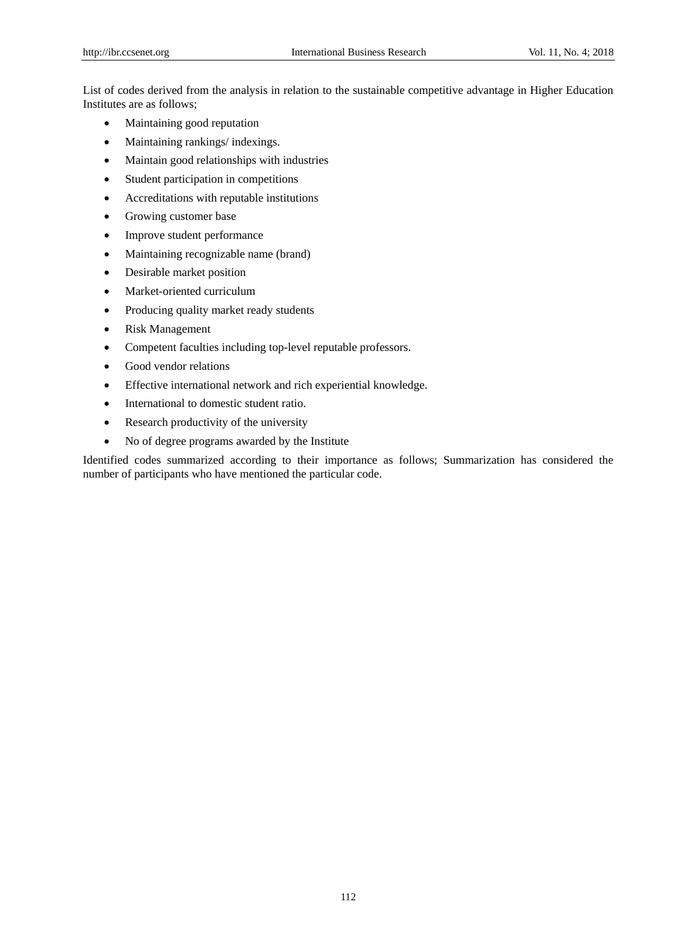List of codes derived from the analysis in relation to the sustainable competitive advantage in Higher Education Institutes are as follows;

- Maintaining good reputation
- Maintaining rankings/ indexings.
- Maintain good relationships with industries
- Student participation in competitions
- Accreditations with reputable institutions
- Growing customer base
- Improve student performance
- Maintaining recognizable name (brand)
- Desirable market position
- Market-oriented curriculum
- Producing quality market ready students
- Risk Management
- Competent faculties including top-level reputable professors.
- Good vendor relations
- Effective international network and rich experiential knowledge.
- International to domestic student ratio.
- Research productivity of the university
- No of degree programs awarded by the Institute

Identified codes summarized according to their importance as follows; Summarization has considered the number of participants who have mentioned the particular code.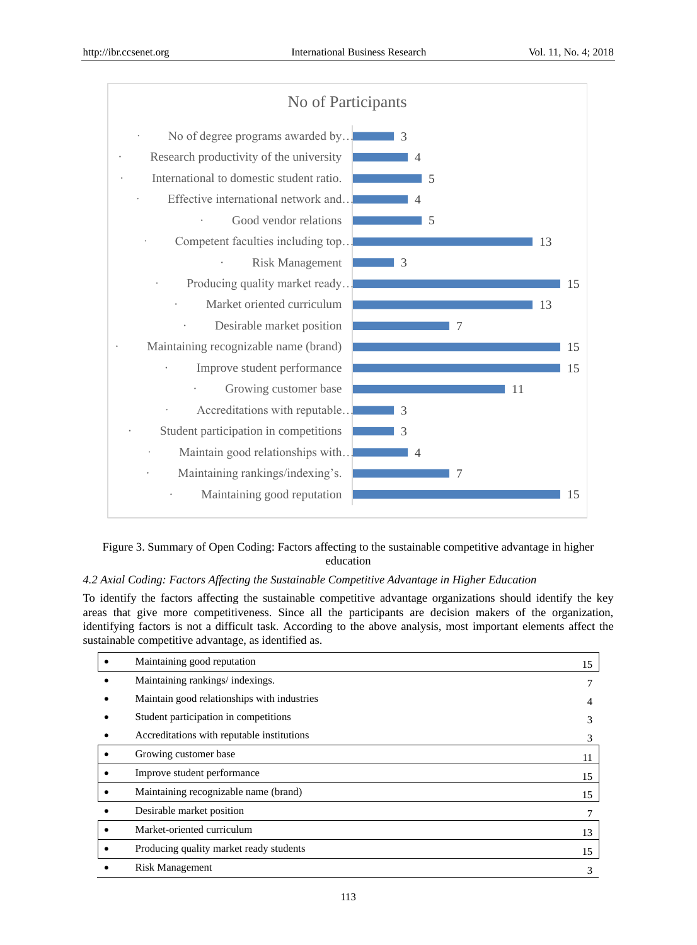

## Figure 3. Summary of Open Coding: Factors affecting to the sustainable competitive advantage in higher education

## *4.2 Axial Coding: Factors Affecting the Sustainable Competitive Advantage in Higher Education*

To identify the factors affecting the sustainable competitive advantage organizations should identify the key areas that give more competitiveness. Since all the participants are decision makers of the organization, identifying factors is not a difficult task. According to the above analysis, most important elements affect the sustainable competitive advantage, as identified as.

|           | Maintaining good reputation                 | 15 |
|-----------|---------------------------------------------|----|
|           | Maintaining rankings/indexings.             |    |
|           | Maintain good relationships with industries | 4  |
|           | Student participation in competitions       | 3  |
|           | Accreditations with reputable institutions  | 3  |
|           | Growing customer base                       | 11 |
| ٠         | Improve student performance                 | 15 |
| $\bullet$ | Maintaining recognizable name (brand)       | 15 |
|           | Desirable market position                   |    |
| $\bullet$ | Market-oriented curriculum                  | 13 |
| ٠         | Producing quality market ready students     | 15 |
|           | <b>Risk Management</b>                      | 3  |
|           |                                             |    |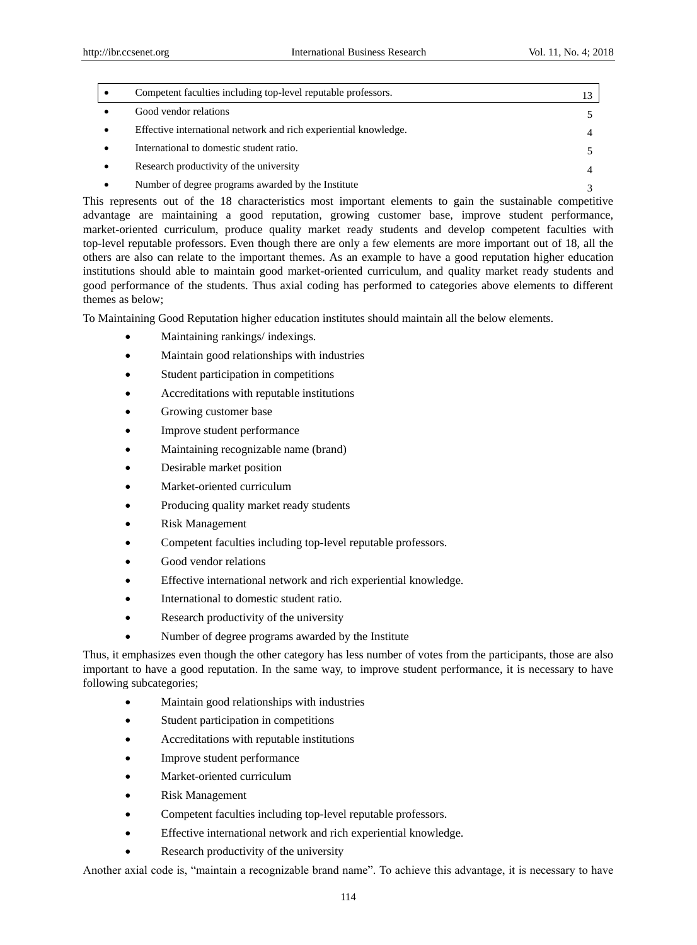| Competent faculties including top-level reputable professors.    |   |
|------------------------------------------------------------------|---|
| Good vendor relations                                            |   |
| Effective international network and rich experiential knowledge. | 4 |
| International to domestic student ratio.                         |   |
| Research productivity of the university                          | 4 |
| Number of degree programs awarded by the Institute               |   |

This represents out of the 18 characteristics most important elements to gain the sustainable competitive advantage are maintaining a good reputation, growing customer base, improve student performance, market-oriented curriculum, produce quality market ready students and develop competent faculties with top-level reputable professors. Even though there are only a few elements are more important out of 18, all the others are also can relate to the important themes. As an example to have a good reputation higher education institutions should able to maintain good market-oriented curriculum, and quality market ready students and good performance of the students. Thus axial coding has performed to categories above elements to different themes as below;

To Maintaining Good Reputation higher education institutes should maintain all the below elements.

- Maintaining rankings/ indexings.
- Maintain good relationships with industries
- Student participation in competitions
- Accreditations with reputable institutions
- Growing customer base
- Improve student performance
- Maintaining recognizable name (brand)
- Desirable market position
- Market-oriented curriculum
- Producing quality market ready students
- Risk Management
- Competent faculties including top-level reputable professors.
- Good vendor relations
- Effective international network and rich experiential knowledge.
- International to domestic student ratio.
- Research productivity of the university
- Number of degree programs awarded by the Institute

Thus, it emphasizes even though the other category has less number of votes from the participants, those are also important to have a good reputation. In the same way, to improve student performance, it is necessary to have following subcategories;

- Maintain good relationships with industries
- Student participation in competitions
- Accreditations with reputable institutions
- Improve student performance
- Market-oriented curriculum
- Risk Management
- Competent faculties including top-level reputable professors.
- Effective international network and rich experiential knowledge.
- Research productivity of the university

Another axial code is, "maintain a recognizable brand name". To achieve this advantage, it is necessary to have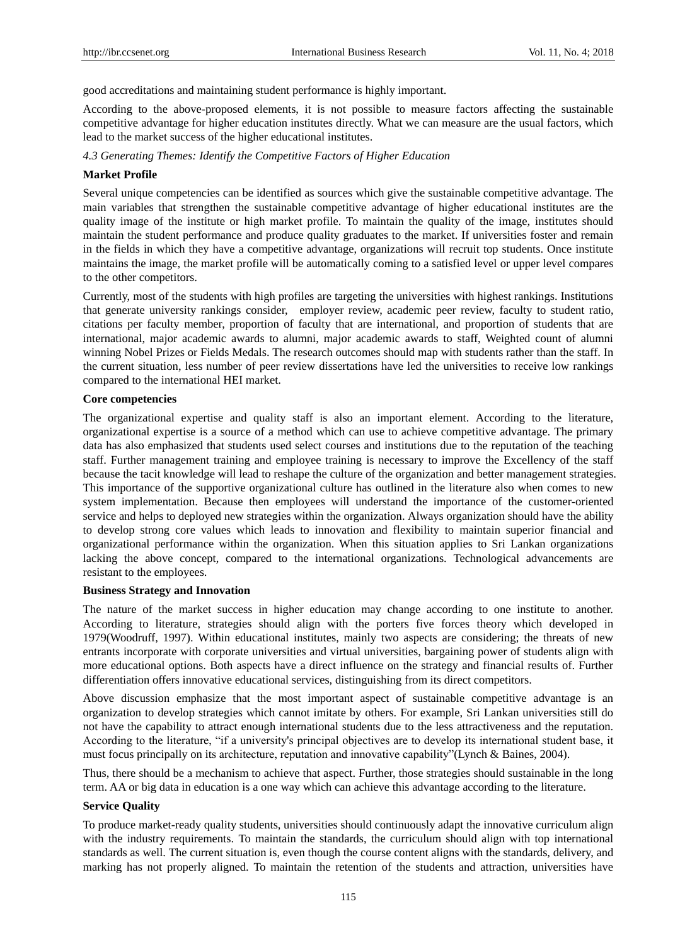good accreditations and maintaining student performance is highly important.

According to the above-proposed elements, it is not possible to measure factors affecting the sustainable competitive advantage for higher education institutes directly. What we can measure are the usual factors, which lead to the market success of the higher educational institutes.

*4.3 Generating Themes: Identify the Competitive Factors of Higher Education*

## **Market Profile**

Several unique competencies can be identified as sources which give the sustainable competitive advantage. The main variables that strengthen the sustainable competitive advantage of higher educational institutes are the quality image of the institute or high market profile. To maintain the quality of the image, institutes should maintain the student performance and produce quality graduates to the market. If universities foster and remain in the fields in which they have a competitive advantage, organizations will recruit top students. Once institute maintains the image, the market profile will be automatically coming to a satisfied level or upper level compares to the other competitors.

Currently, most of the students with high profiles are targeting the universities with highest rankings. Institutions that generate university rankings consider, employer review, academic peer review, faculty to student ratio, citations per faculty member, proportion of faculty that are international, and proportion of students that are international, major academic awards to alumni, major academic awards to staff, Weighted count of alumni winning Nobel Prizes or Fields Medals. The research outcomes should map with students rather than the staff. In the current situation, less number of peer review dissertations have led the universities to receive low rankings compared to the international HEI market.

#### **Core competencies**

The organizational expertise and quality staff is also an important element. According to the literature, organizational expertise is a source of a method which can use to achieve competitive advantage. The primary data has also emphasized that students used select courses and institutions due to the reputation of the teaching staff. Further management training and employee training is necessary to improve the Excellency of the staff because the tacit knowledge will lead to reshape the culture of the organization and better management strategies. This importance of the supportive organizational culture has outlined in the literature also when comes to new system implementation. Because then employees will understand the importance of the customer-oriented service and helps to deployed new strategies within the organization. Always organization should have the ability to develop strong core values which leads to innovation and flexibility to maintain superior financial and organizational performance within the organization. When this situation applies to Sri Lankan organizations lacking the above concept, compared to the international organizations. Technological advancements are resistant to the employees.

#### **Business Strategy and Innovation**

The nature of the market success in higher education may change according to one institute to another. According to literature, strategies should align with the porters five forces theory which developed in 1979(Woodruff, 1997). Within educational institutes, mainly two aspects are considering; the threats of new entrants incorporate with corporate universities and virtual universities, bargaining power of students align with more educational options. Both aspects have a direct influence on the strategy and financial results of. Further differentiation offers innovative educational services, distinguishing from its direct competitors.

Above discussion emphasize that the most important aspect of sustainable competitive advantage is an organization to develop strategies which cannot imitate by others. For example, Sri Lankan universities still do not have the capability to attract enough international students due to the less attractiveness and the reputation. According to the literature, "if a university's principal objectives are to develop its international student base, it must focus principally on its architecture, reputation and innovative capability"(Lynch & Baines, 2004).

Thus, there should be a mechanism to achieve that aspect. Further, those strategies should sustainable in the long term. AA or big data in education is a one way which can achieve this advantage according to the literature.

### **Service Quality**

To produce market-ready quality students, universities should continuously adapt the innovative curriculum align with the industry requirements. To maintain the standards, the curriculum should align with top international standards as well. The current situation is, even though the course content aligns with the standards, delivery, and marking has not properly aligned. To maintain the retention of the students and attraction, universities have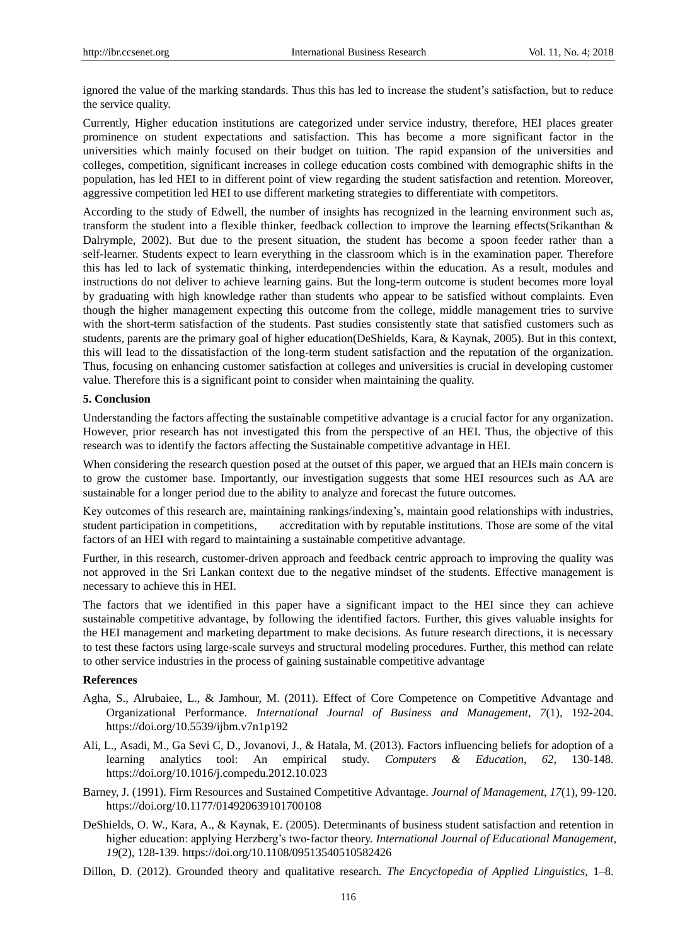ignored the value of the marking standards. Thus this has led to increase the student's satisfaction, but to reduce the service quality.

Currently, Higher education institutions are categorized under service industry, therefore, HEI places greater prominence on student expectations and satisfaction. This has become a more significant factor in the universities which mainly focused on their budget on tuition. The rapid expansion of the universities and colleges, competition, significant increases in college education costs combined with demographic shifts in the population, has led HEI to in different point of view regarding the student satisfaction and retention. Moreover, aggressive competition led HEI to use different marketing strategies to differentiate with competitors.

According to the study of Edwell, the number of insights has recognized in the learning environment such as, transform the student into a flexible thinker, feedback collection to improve the learning effects(Srikanthan & Dalrymple, 2002). But due to the present situation, the student has become a spoon feeder rather than a self-learner. Students expect to learn everything in the classroom which is in the examination paper. Therefore this has led to lack of systematic thinking, interdependencies within the education. As a result, modules and instructions do not deliver to achieve learning gains. But the long-term outcome is student becomes more loyal by graduating with high knowledge rather than students who appear to be satisfied without complaints. Even though the higher management expecting this outcome from the college, middle management tries to survive with the short-term satisfaction of the students. Past studies consistently state that satisfied customers such as students, parents are the primary goal of higher education(DeShields, Kara, & Kaynak, 2005). But in this context, this will lead to the dissatisfaction of the long-term student satisfaction and the reputation of the organization. Thus, focusing on enhancing customer satisfaction at colleges and universities is crucial in developing customer value. Therefore this is a significant point to consider when maintaining the quality.

### **5. Conclusion**

Understanding the factors affecting the sustainable competitive advantage is a crucial factor for any organization. However, prior research has not investigated this from the perspective of an HEI. Thus, the objective of this research was to identify the factors affecting the Sustainable competitive advantage in HEI.

When considering the research question posed at the outset of this paper, we argued that an HEIs main concern is to grow the customer base. Importantly, our investigation suggests that some HEI resources such as AA are sustainable for a longer period due to the ability to analyze and forecast the future outcomes.

Key outcomes of this research are, maintaining rankings/indexing's, maintain good relationships with industries, student participation in competitions, accreditation with by reputable institutions. Those are some of the vital factors of an HEI with regard to maintaining a sustainable competitive advantage.

Further, in this research, customer-driven approach and feedback centric approach to improving the quality was not approved in the Sri Lankan context due to the negative mindset of the students. Effective management is necessary to achieve this in HEI.

The factors that we identified in this paper have a significant impact to the HEI since they can achieve sustainable competitive advantage, by following the identified factors. Further, this gives valuable insights for the HEI management and marketing department to make decisions. As future research directions, it is necessary to test these factors using large-scale surveys and structural modeling procedures. Further, this method can relate to other service industries in the process of gaining sustainable competitive advantage

## **References**

- Agha, S., Alrubaiee, L., & Jamhour, M. (2011). Effect of Core Competence on Competitive Advantage and Organizational Performance. *International Journal of Business and Management*, *7*(1), 192-204. https://doi.org/10.5539/ijbm.v7n1p192
- Ali, L., Asadi, M., Ga Sevi C, D., Jovanovi, J., & Hatala, M. (2013). Factors influencing beliefs for adoption of a learning analytics tool: An empirical study. *Computers & Education*, *62*, 130-148. https://doi.org/10.1016/j.compedu.2012.10.023
- Barney, J. (1991). Firm Resources and Sustained Competitive Advantage. *Journal of Management*, *17*(1), 99-120. https://doi.org/10.1177/014920639101700108
- DeShields, O. W., Kara, A., & Kaynak, E. (2005). Determinants of business student satisfaction and retention in higher education: applying Herzberg's two-factor theory. *International Journal of Educational Management*, *19*(2), 128-139. https://doi.org/10.1108/09513540510582426
- Dillon, D. (2012). Grounded theory and qualitative research. *The Encyclopedia of Applied Linguistics*, 1–8.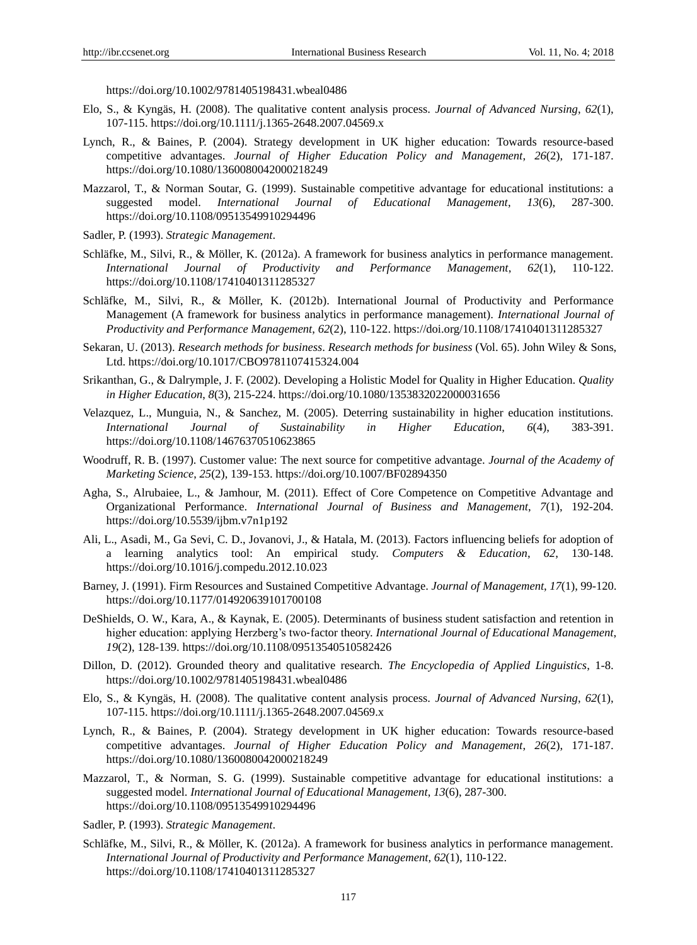https://doi.org/10.1002/9781405198431.wbeal0486

- Elo, S., & Kyngäs, H. (2008). The qualitative content analysis process. *Journal of Advanced Nursing*, *62*(1), 107-115. https://doi.org/10.1111/j.1365-2648.2007.04569.x
- Lynch, R., & Baines, P. (2004). Strategy development in UK higher education: Towards resource-based competitive advantages. *Journal of Higher Education Policy and Management*, *26*(2), 171-187. https://doi.org/10.1080/1360080042000218249
- Mazzarol, T., & Norman Soutar, G. (1999). Sustainable competitive advantage for educational institutions: a suggested model. *International Journal of Educational Management*, *13*(6), 287-300. https://doi.org/10.1108/09513549910294496
- Sadler, P. (1993). *Strategic Management*.
- Schläfke, M., Silvi, R., & Möller, K. (2012a). A framework for business analytics in performance management. *International Journal of Productivity and Performance Management*, *62*(1), 110-122. https://doi.org/10.1108/17410401311285327
- Schläfke, M., Silvi, R., & Möller, K. (2012b). International Journal of Productivity and Performance Management (A framework for business analytics in performance management). *International Journal of Productivity and Performance Management*, *62*(2), 110-122. https://doi.org/10.1108/17410401311285327
- Sekaran, U. (2013). *Research methods for business*. *Research methods for business* (Vol. 65). John Wiley & Sons, Ltd. https://doi.org/10.1017/CBO9781107415324.004
- Srikanthan, G., & Dalrymple, J. F. (2002). Developing a Holistic Model for Quality in Higher Education. *Quality in Higher Education*, *8*(3), 215-224. https://doi.org/10.1080/1353832022000031656
- Velazquez, L., Munguia, N., & Sanchez, M. (2005). Deterring sustainability in higher education institutions. *International Journal of Sustainability in Higher Education*, *6*(4), 383-391. https://doi.org/10.1108/14676370510623865
- Woodruff, R. B. (1997). Customer value: The next source for competitive advantage. *Journal of the Academy of Marketing Science*, *25*(2), 139-153. https://doi.org/10.1007/BF02894350
- Agha, S., Alrubaiee, L., & Jamhour, M. (2011). Effect of Core Competence on Competitive Advantage and Organizational Performance. *International Journal of Business and Management*, *7*(1), 192-204. https://doi.org/10.5539/ijbm.v7n1p192
- Ali, L., Asadi, M., Ga Sevi, C. D., Jovanovi, J., & Hatala, M. (2013). Factors influencing beliefs for adoption of a learning analytics tool: An empirical study. *Computers & Education*, *62*, 130-148. https://doi.org/10.1016/j.compedu.2012.10.023
- Barney, J. (1991). Firm Resources and Sustained Competitive Advantage. *Journal of Management*, *17*(1), 99-120. https://doi.org/10.1177/014920639101700108
- DeShields, O. W., Kara, A., & Kaynak, E. (2005). Determinants of business student satisfaction and retention in higher education: applying Herzberg's two‐factor theory. *International Journal of Educational Management*, *19*(2), 128-139. https://doi.org/10.1108/09513540510582426
- Dillon, D. (2012). Grounded theory and qualitative research. *The Encyclopedia of Applied Linguistics*, 1-8. https://doi.org/10.1002/9781405198431.wbeal0486
- Elo, S., & Kyngäs, H. (2008). The qualitative content analysis process. *Journal of Advanced Nursing*, *62*(1), 107-115. https://doi.org/10.1111/j.1365-2648.2007.04569.x
- Lynch, R., & Baines, P. (2004). Strategy development in UK higher education: Towards resource-based competitive advantages. *Journal of Higher Education Policy and Management*, *26*(2), 171-187. https://doi.org/10.1080/1360080042000218249
- Mazzarol, T., & Norman, S. G. (1999). Sustainable competitive advantage for educational institutions: a suggested model. *International Journal of Educational Management*, *13*(6), 287-300. https://doi.org/10.1108/09513549910294496
- Sadler, P. (1993). *Strategic Management*.
- Schläfke, M., Silvi, R., & Möller, K. (2012a). A framework for business analytics in performance management. *International Journal of Productivity and Performance Management*, *62*(1), 110-122. https://doi.org/10.1108/17410401311285327